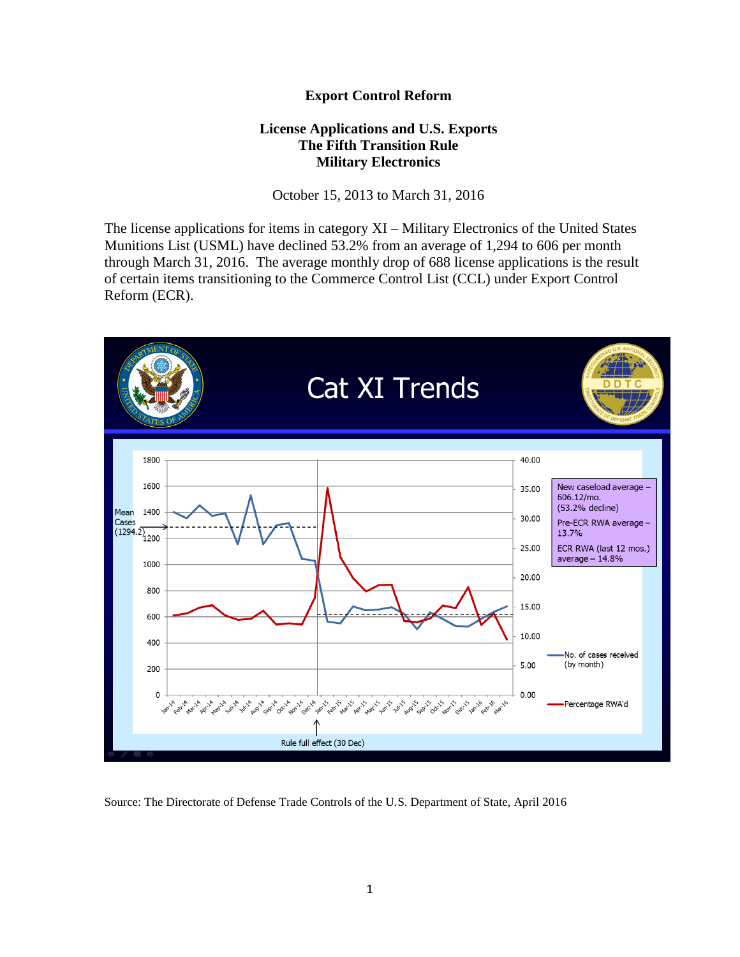## **Export Control Reform**

## **License Applications and U.S. Exports The Fifth Transition Rule Military Electronics**

October 15, 2013 to March 31, 2016

The license applications for items in category XI – Military Electronics of the United States Munitions List (USML) have declined 53.2% from an average of 1,294 to 606 per month through March 31, 2016. The average monthly drop of 688 license applications is the result of certain items transitioning to the Commerce Control List (CCL) under Export Control Reform (ECR).



Source: The Directorate of Defense Trade Controls of the U.S. Department of State, April 2016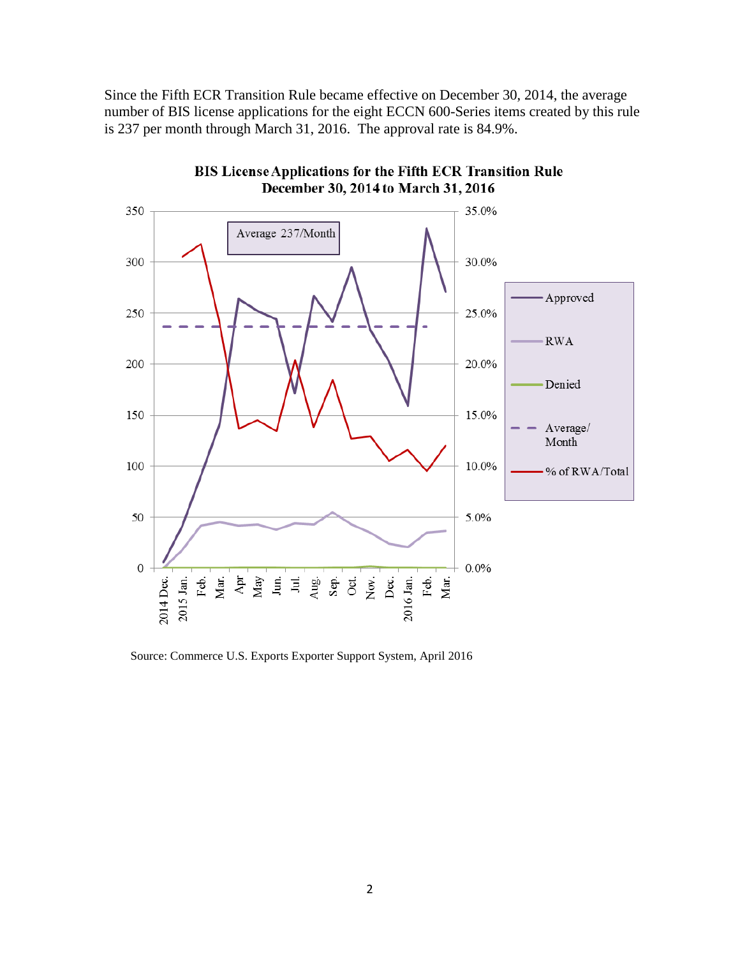Since the Fifth ECR Transition Rule became effective on December 30, 2014, the average number of BIS license applications for the eight ECCN 600-Series items created by this rule is 237 per month through March 31, 2016. The approval rate is 84.9%.



BIS License Applications for the Fifth ECR Transition Rule December 30, 2014 to March 31, 2016

Source: Commerce U.S. Exports Exporter Support System, April 2016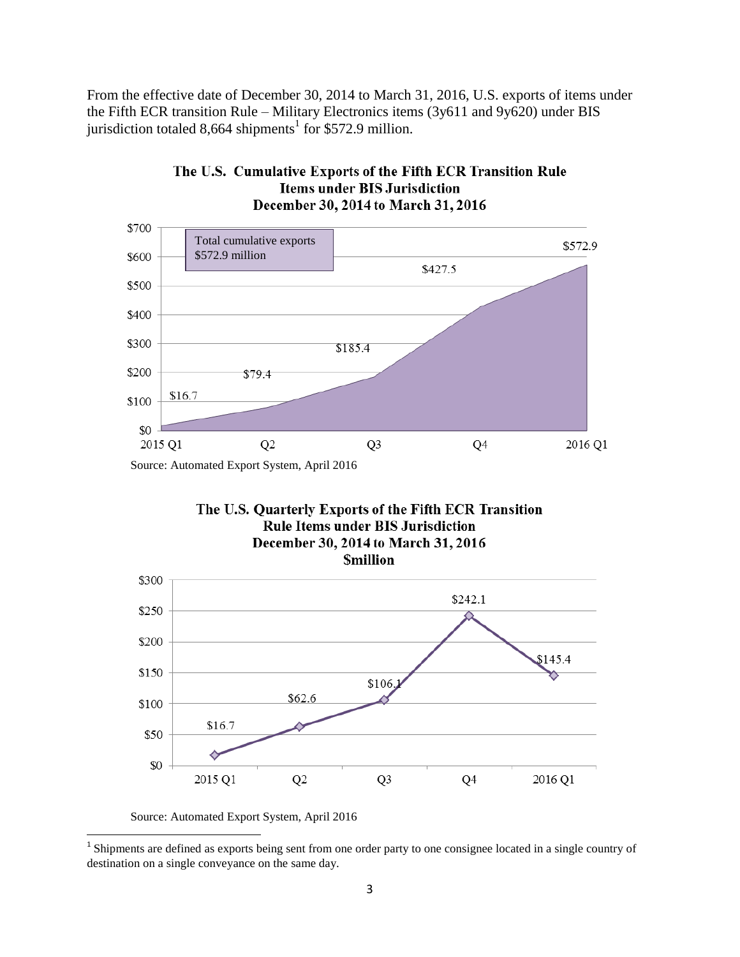From the effective date of December 30, 2014 to March 31, 2016, U.S. exports of items under the Fifth ECR transition Rule – Military Electronics items (3y611 and 9y620) under BIS jurisdiction totaled 8,664 shipments<sup>1</sup> for \$572.9 million.



## The U.S. Cumulative Exports of the Fifth ECR Transition Rule **Items under BIS Jurisdiction** December 30, 2014 to March 31, 2016

The U.S. Quarterly Exports of the Fifth ECR Transition **Rule Items under BIS Jurisdiction** December 30, 2014 to March 31, 2016 **Smillion** 



Source: Automated Export System, April 2016

<sup>&</sup>lt;sup>1</sup> Shipments are defined as exports being sent from one order party to one consignee located in a single country of destination on a single conveyance on the same day.